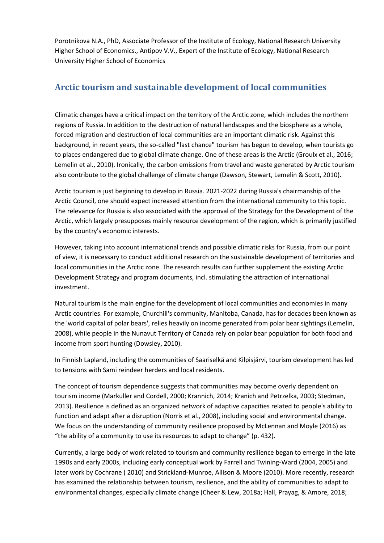Porotnikova N.A., PhD, Associate Professor of the Institute of Ecology, National Research University Higher School of Economics., Antipov V.V., Expert of the Institute of Ecology, National Research University Higher School of Economics

## **Arctic tourism and sustainable development of local communities**

Climatic changes have a critical impact on the territory of the Arctic zone, which includes the northern regions of Russia. In addition to the destruction of natural landscapes and the biosphere as a whole, forced migration and destruction of local communities are an important climatic risk. Against this background, in recent years, the so-called "last chance" tourism has begun to develop, when tourists go to places endangered due to global climate change. One of these areas is the Arctic (Groulx et al., 2016; Lemelin et al., 2010). Ironically, the carbon emissions from travel and waste generated by Arctic tourism also contribute to the global challenge of climate change (Dawson, Stewart, Lemelin & Scott, 2010).

Arctic tourism is just beginning to develop in Russia. 2021-2022 during Russia's chairmanship of the Arctic Council, one should expect increased attention from the international community to this topic. The relevance for Russia is also associated with the approval of the Strategy for the Development of the Arctic, which largely presupposes mainly resource development of the region, which is primarily justified by the country's economic interests.

However, taking into account international trends and possible climatic risks for Russia, from our point of view, it is necessary to conduct additional research on the sustainable development of territories and local communities in the Arctic zone. The research results can further supplement the existing Arctic Development Strategy and program documents, incl. stimulating the attraction of international investment.

Natural tourism is the main engine for the development of local communities and economies in many Arctic countries. For example, Churchill's community, Manitoba, Canada, has for decades been known as the 'world capital of polar bears', relies heavily on income generated from polar bear sightings (Lemelin, 2008), while people in the Nunavut Territory of Canada rely on polar bear population for both food and income from sport hunting (Dowsley, 2010).

In Finnish Lapland, including the communities of Saariselkä and Kilpisjärvi, tourism development has led to tensions with Sami reindeer herders and local residents.

The concept of tourism dependence suggests that communities may become overly dependent on tourism income (Markuller and Cordell, 2000; Krannich, 2014; Kranich and Petrzelka, 2003; Stedman, 2013). Resilience is defined as an organized network of adaptive capacities related to people's ability to function and adapt after a disruption (Norris et al., 2008), including social and environmental change. We focus on the understanding of community resilience proposed by McLennan and Moyle (2016) as "the ability of a community to use its resources to adapt to change" (p. 432).

Currently, a large body of work related to tourism and community resilience began to emerge in the late 1990s and early 2000s, including early conceptual work by Farrell and Twining-Ward (2004, 2005) and later work by Cochrane ( 2010) and Strickland-Munroe, Allison & Moore (2010). More recently, research has examined the relationship between tourism, resilience, and the ability of communities to adapt to environmental changes, especially climate change (Cheer & Lew, 2018a; Hall, Prayag, & Amore, 2018;